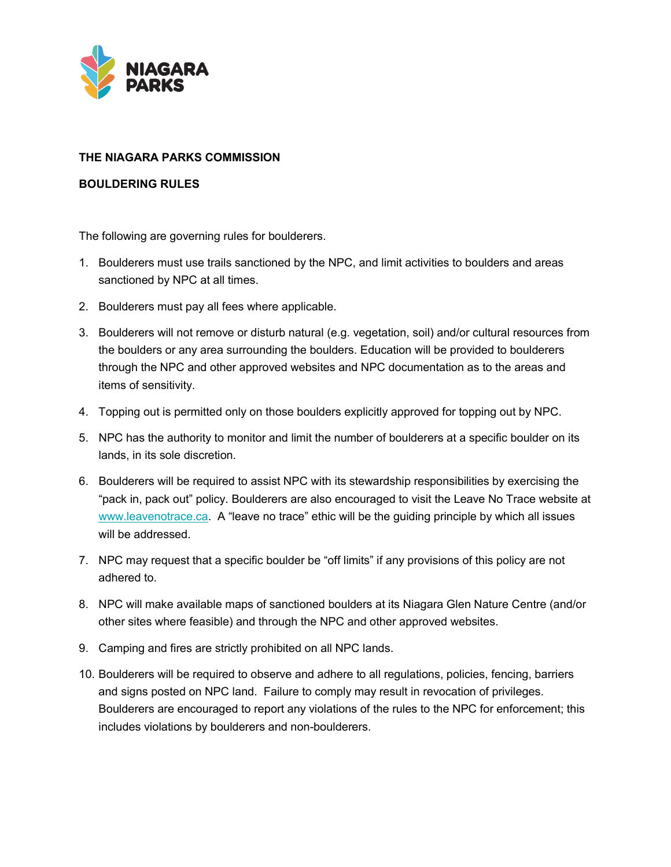

## **THE NIAGARA PARKS COMMISSION**

## **BOULDERING RULES**

The following are governing rules for boulderers.

- 1. Boulderers must use trails sanctioned by the NPC, and limit activities to boulders and areas sanctioned by NPC at all times.
- 2. Boulderers must pay all fees where applicable.
- 3. Boulderers will not remove or disturb natural (e.g. vegetation, soil) and/or cultural resources from the boulders or any area surrounding the boulders. Education will be provided to boulderers through the NPC and other approved websites and NPC documentation as to the areas and items of sensitivity.
- 4. Topping out is permitted only on those boulders explicitly approved for topping out by NPC.
- 5. NPC has the authority to monitor and limit the number of boulderers at a specific boulder on its lands, in its sole discretion.
- 6. Boulderers will be required to assist NPC with its stewardship responsibilities by exercising the "pack in, pack out" policy. Boulderers are also encouraged to visit the Leave No Trace website at [www.leavenotrace.ca.](http://www.leavenotrace.ca/) A "leave no trace" ethic will be the guiding principle by which all issues will be addressed.
- 7. NPC may request that a specific boulder be "off limits" if any provisions of this policy are not adhered to.
- 8. NPC will make available maps of sanctioned boulders at its Niagara Glen Nature Centre (and/or other sites where feasible) and through the NPC and other approved websites.
- 9. Camping and fires are strictly prohibited on all NPC lands.
- 10. Boulderers will be required to observe and adhere to all regulations, policies, fencing, barriers and signs posted on NPC land. Failure to comply may result in revocation of privileges. Boulderers are encouraged to report any violations of the rules to the NPC for enforcement; this includes violations by boulderers and non-boulderers.